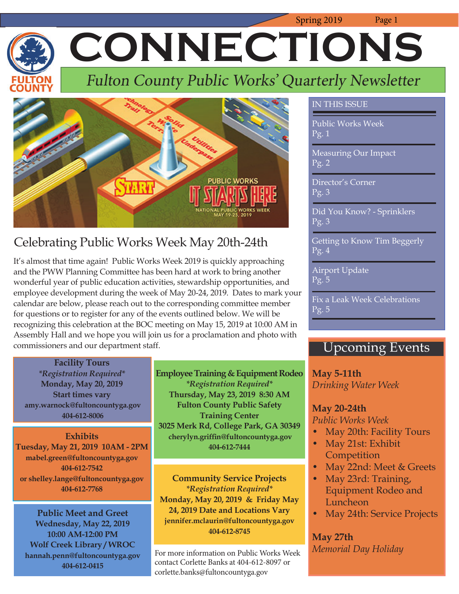Spring 2019 Page 1  **CONNECTIONS**

## Fulton County Public Works' Quarterly Newsletter



## Celebrating Public Works Week May 20th-24th

It's almost that time again! Public Works Week 2019 is quickly approaching and the PWW Planning Committee has been hard at work to bring another wonderful year of public education activities, stewardship opportunities, and employee development during the week of May 20-24, 2019. Dates to mark your calendar are below, please reach out to the corresponding committee member for questions or to register for any of the events outlined below. We will be recognizing this celebration at the BOC meeting on May 15, 2019 at 10:00 AM in Assembly Hall and we hope you will join us for a proclamation and photo with commissioners and our department staff.

### **Facility Tours**

*\*Registration Required\** **Monday, May 20, 2019 Start times vary amy.warnock@fultoncountyga.gov 404-612-8006**

**Exhibits Tuesday, May 21, 2019 10AM - 2PM mabel.green@fultoncountyga.gov 404-612-7542 or shelley.lange@fultoncountyga.gov 404-612-7768**

**Public Meet and Greet Wednesday, May 22, 2019 10:00 AM-12:00 PM Wolf Creek Library / WROC hannah.penn@fultoncountyga.gov 404-612-0415**

**Employee Training & Equipment Rodeo**  *\*Registration Required\** **Thursday, May 23, 2019 8:30 AM Fulton County Public Safety Training Center 3025 Merk Rd, College Park, GA 30349** cherylyn.griffin@fultoncountyga.gov **404-612-7444**

**Community Service Projects**  *\*Registration Required\** **Monday, May 20, 2019 & Friday May 24, 2019 Date and Locations Vary jennifer.mclaurin@fultoncountyga.gov 404-612-8745**

For more information on Public Works Week contact Corlette Banks at 404-612-8097 or corlette.banks@fultoncountyga.gov

### IN THIS ISSUE

Public Works Week Pg. 1

Measuring Our Impact Pg. 2

Director's Corner Pg. 3

Did You Know? - Sprinklers Pg. 3

Getting to Know Tim Beggerly Pg. 4

Airport Update Pg. 5

Fix a Leak Week Celebrations Pg. 5

## Upcoming Events

**May 5-11th**  *Drinking Water Week*

### **May 20-24th**

*Public Works Week*

- May 20th: Facility Tours
- May 21st: Exhibit **Competition**
- May 22nd: Meet & Greets
- May 23rd: Training, Equipment Rodeo and **Luncheon**
- May 24th: Service Projects

### **May 27th** *Memorial Day Holiday*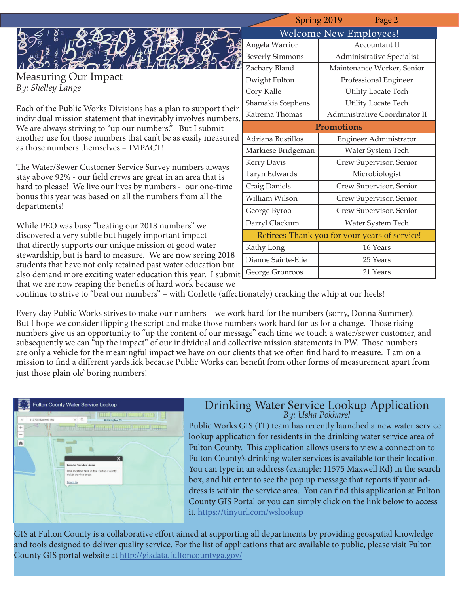|                                                                                                                                  | Spring 2019                                   | Page 2                        |
|----------------------------------------------------------------------------------------------------------------------------------|-----------------------------------------------|-------------------------------|
|                                                                                                                                  | <b>Welcome New Employees!</b>                 |                               |
|                                                                                                                                  | Angela Warrior                                | Accountant II                 |
|                                                                                                                                  | <b>Beverly Simmons</b>                        | Administrative Specialist     |
|                                                                                                                                  | Zachary Bland                                 | Maintenance Worker, Senior    |
| Measuring Our Impact                                                                                                             | Dwight Fulton                                 | Professional Engineer         |
| By: Shelley Lange                                                                                                                | Cory Kalle                                    | <b>Utility Locate Tech</b>    |
|                                                                                                                                  | Shamakia Stephens                             | <b>Utility Locate Tech</b>    |
| Each of the Public Works Divisions has a plan to support their<br>individual mission statement that inevitably involves numbers. | Katreina Thomas                               | Administrative Coordinator II |
| We are always striving to "up our numbers." But I submit                                                                         | <b>Promotions</b>                             |                               |
| another use for those numbers that can't be as easily measured                                                                   | Adriana Bustillos                             | Engineer Administrator        |
| as those numbers themselves - IMPACT!                                                                                            | Markiese Bridgeman                            | Water System Tech             |
| The Water/Sewer Customer Service Survey numbers always                                                                           | Kerry Davis                                   | Crew Supervisor, Senior       |
| stay above 92% - our field crews are great in an area that is                                                                    | Taryn Edwards                                 | Microbiologist                |
| hard to please! We live our lives by numbers - our one-time                                                                      | Craig Daniels                                 | Crew Supervisor, Senior       |
| bonus this year was based on all the numbers from all the                                                                        | William Wilson                                | Crew Supervisor, Senior       |
| departments!                                                                                                                     | George Byroo                                  | Crew Supervisor, Senior       |
| While PEO was busy "beating our 2018 numbers" we                                                                                 | Darryl Clackum                                | Water System Tech             |
| discovered a very subtle but hugely important impact                                                                             | Retirees-Thank you for your years of service! |                               |
| that directly supports our unique mission of good water                                                                          | Kathy Long                                    | 16 Years                      |
| stewardship, but is hard to measure. We are now seeing 2018                                                                      | Dianne Sainte-Elie                            | 25 Years                      |
| students that have not only retained past water education but                                                                    |                                               |                               |

that we are now reaping the benefits of hard work because we continue to strive to "beat our numbers" - with Corlette (affectionately) cracking the whip at our heels!

also demand more exciting water education this year. I submit George Gronroos 21 Years

Every day Public Works strives to make our numbers – we work hard for the numbers (sorry, Donna Summer). But I hope we consider flipping the script and make those numbers work hard for us for a change. Those rising numbers give us an opportunity to "up the content of our message" each time we touch a water/sewer customer, and subsequently we can "up the impact" of our individual and collective mission statements in PW. Those numbers are only a vehicle for the meaningful impact we have on our clients that we often find hard to measure. I am on a mission to find a different yardstick because Public Works can benefit from other forms of measurement apart from just those plain ole' boring numbers!



# Drinking Water Service Lookup Application *By: Usha Pokharel*

Public Works GIS (IT) team has recently launched a new water service lookup application for residents in the drinking water service area of Fulton County. This application allows users to view a connection to Fulton County's drinking water services is available for their location. You can type in an address (example: 11575 Maxwell Rd) in the search box, and hit enter to see the pop up message that reports if your address is within the service area. You can find this application at Fulton County GIS Portal or you can simply click on the link below to access it. https://tinyurl.com/wslookup

GIS at Fulton County is a collaborative effort aimed at supporting all departments by providing geospatial knowledge and tools designed to deliver quality service. For the list of applications that are available to public, please visit Fulton County GIS portal website at http://gisdata.fultoncountyga.gov/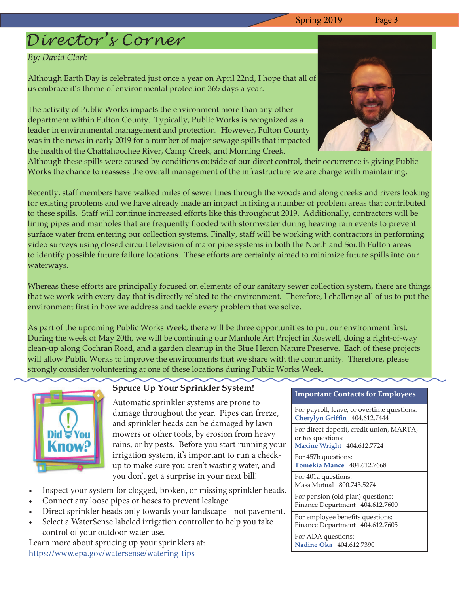## *Director's Corner*

### *By: David Clark*

Although Earth Day is celebrated just once a year on April 22nd, I hope that all of us embrace it's theme of environmental protection 365 days a year.

The activity of Public Works impacts the environment more than any other department within Fulton County. Typically, Public Works is recognized as a leader in environmental management and protection. However, Fulton County was in the news in early 2019 for a number of major sewage spills that impacted the health of the Chattahoochee River, Camp Creek, and Morning Creek.



Although these spills were caused by conditions outside of our direct control, their occurrence is giving Public Works the chance to reassess the overall management of the infrastructure we are charge with maintaining.

Recently, staff members have walked miles of sewer lines through the woods and along creeks and rivers looking for existing problems and we have already made an impact in fixing a number of problem areas that contributed to these spills. Staff will continue increased efforts like this throughout 2019. Additionally, contractors will be lining pipes and manholes that are frequently flooded with stormwater during heaving rain events to prevent surface water from entering our collection systems. Finally, staff will be working with contractors in performing video surveys using closed circuit television of major pipe systems in both the North and South Fulton areas to identify possible future failure locations. These efforts are certainly aimed to minimize future spills into our waterways.

Whereas these efforts are principally focused on elements of our sanitary sewer collection system, there are things that we work with every day that is directly related to the environment. Therefore, I challenge all of us to put the environment first in how we address and tackle every problem that we solve.

As part of the upcoming Public Works Week, there will be three opportunities to put our environment first. During the week of May 20th, we will be continuing our Manhole Art Project in Roswell, doing a right-of-way clean-up along Cochran Road, and a garden cleanup in the Blue Heron Nature Preserve. Each of these projects will allow Public Works to improve the environments that we share with the community. Therefore, please strongly consider volunteering at one of these locations during Public Works Week.



### **Spruce Up Your Sprinkler System!**

Automatic sprinkler systems are prone to damage throughout the year. Pipes can freeze, and sprinkler heads can be damaged by lawn mowers or other tools, by erosion from heavy rains, or by pests. Before you start running your irrigation system, it's important to run a checkup to make sure you aren't wasting water, and you don't get a surprise in your next bill!

- Inspect your system for clogged, broken, or missing sprinkler heads.
- Connect any loose pipes or hoses to prevent leakage.
- Direct sprinkler heads only towards your landscape not pavement.
- Select a WaterSense labeled irrigation controller to help you take control of your outdoor water use.

Learn more about sprucing up your sprinklers at: https://www.epa.gov/watersense/watering-tips

### **Important Contacts for Employees**

For payroll, leave, or overtime questions: **Cherylyn Griffin** 404.612.7444

For direct deposit, credit union, MARTA, or tax questions:

**Maxine Wright** 404.612.7724

For 457b questions:

**Tomekia Mance** 404.612.7668

For 401a questions: Mass Mutual 800.743.5274

For pension (old plan) questions: Finance Department 404.612.7600

For employee benefits questions: Finance Department 404.612.7605

For ADA questions: **Nadine Oka** 404.612.7390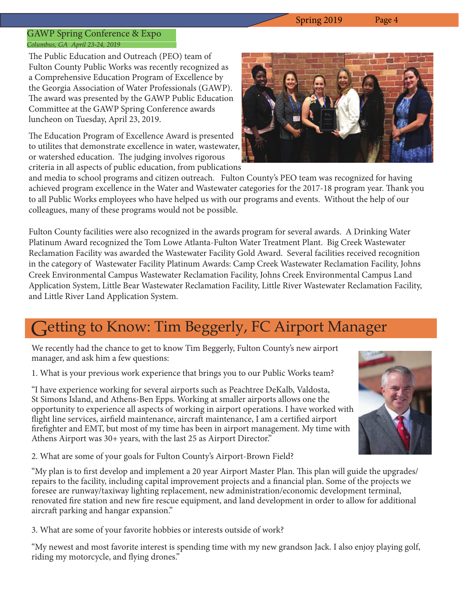### GAWP Spring Conference & Expo *Columbus, GA April 23-24, 2019*

The Public Education and Outreach (PEO) team of Fulton County Public Works was recently recognized as a Comprehensive Education Program of Excellence by the Georgia Association of Water Professionals (GAWP). The award was presented by the GAWP Public Education Committee at the GAWP Spring Conference awards luncheon on Tuesday, April 23, 2019.

The Education Program of Excellence Award is presented to utilites that demonstrate excellence in water, wastewater, or watershed education. The judging involves rigorous criteria in all aspects of public education, from publications



and media to school programs and citizen outreach. Fulton County's PEO team was recognized for having achieved program excellence in the Water and Wastewater categories for the 2017-18 program year. Thank you to all Public Works employees who have helped us with our programs and events. Without the help of our colleagues, many of these programs would not be possible.

Fulton County facilities were also recognized in the awards program for several awards. A Drinking Water Platinum Award recognized the Tom Lowe Atlanta-Fulton Water Treatment Plant. Big Creek Wastewater Reclamation Facility was awarded the Wastewater Facility Gold Award. Several facilities received recognition in the category of Wastewater Facility Platinum Awards: Camp Creek Wastewater Reclamation Facility, Johns Creek Environmental Campus Wastewater Reclamation Facility, Johns Creek Environmental Campus Land Application System, Little Bear Wastewater Reclamation Facility, Little River Wastewater Reclamation Facility, and Little River Land Application System.

## Getting to Know: Tim Beggerly, FC Airport Manager

We recently had the chance to get to know Tim Beggerly, Fulton County's new airport manager, and ask him a few questions:

1. What is your previous work experience that brings you to our Public Works team?

"I have experience working for several airports such as Peachtree DeKalb, Valdosta, St Simons Island, and Athens-Ben Epps. Working at smaller airports allows one the opportunity to experience all aspects of working in airport operations. I have worked with flight line services, airfield maintenance, aircraft maintenance, I am a certified airport firefighter and EMT, but most of my time has been in airport management. My time with Athens Airport was 30+ years, with the last 25 as Airport Director."

2. What are some of your goals for Fulton County's Airport-Brown Field?

"My plan is to first develop and implement a 20 year Airport Master Plan. This plan will guide the upgrades/ repairs to the facility, including capital improvement projects and a financial plan. Some of the projects we foresee are runway/taxiway lighting replacement, new administration/economic development terminal, renovated fire station and new fire rescue equipment, and land development in order to allow for additional aircraft parking and hangar expansion."

3. What are some of your favorite hobbies or interests outside of work?

"My newest and most favorite interest is spending time with my new grandson Jack. I also enjoy playing golf, riding my motorcycle, and flying drones."

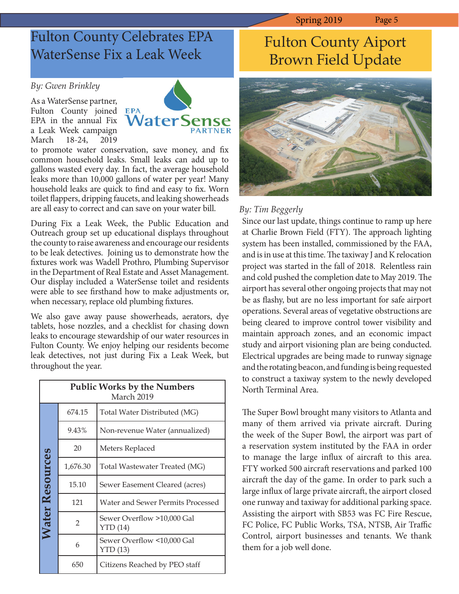## Fulton County Celebrates EPA WaterSense Fix a Leak Week

### *By: Gwen Brinkley*

As a WaterSense partner, Fulton County joined EPA EPA in the annual Fix a Leak Week campaign March 18-24, 2019



to promote water conservation, save money, and fix common household leaks. Small leaks can add up to gallons wasted every day. In fact, the average household leaks more than 10,000 gallons of water per year! Many household leaks are quick to find and easy to fix. Worn toilet flappers, dripping faucets, and leaking showerheads are all easy to correct and can save on your water bill.

During Fix a Leak Week, the Public Education and Outreach group set up educational displays throughout the county to raise awareness and encourage our residents to be leak detectives. Joining us to demonstrate how the fixtures work was Wadell Prothro, Plumbing Supervisor in the Department of Real Estate and Asset Management. Our display included a WaterSense toilet and residents were able to see firsthand how to make adjustments or, when necessary, replace old plumbing fixtures.

We also gave away pause showerheads, aerators, dye tablets, hose nozzles, and a checklist for chasing down leaks to encourage stewardship of our water resources in Fulton County. We enjoy helping our residents become leak detectives, not just during Fix a Leak Week, but throughout the year.

| <b>Public Works by the Numbers</b><br>March 2019 |               |                                       |  |
|--------------------------------------------------|---------------|---------------------------------------|--|
|                                                  | 674.15        | Total Water Distributed (MG)          |  |
|                                                  | 9.43%         | Non-revenue Water (annualized)        |  |
|                                                  | 20            | Meters Replaced                       |  |
|                                                  | 1,676.30      | Total Wastewater Treated (MG)         |  |
|                                                  | 15.10         | Sewer Easement Cleared (acres)        |  |
|                                                  | 121           | Water and Sewer Permits Processed     |  |
| <b>Water Resources</b>                           | $\mathcal{P}$ | Sewer Overflow >10,000 Gal<br>YTD(14) |  |
|                                                  | 6             | Sewer Overflow <10,000 Gal<br>YTD(13) |  |
|                                                  | 650           | Citizens Reached by PEO staff         |  |

## Fulton County Aiport Brown Field Update



### *By: Tim Beggerly*

Since our last update, things continue to ramp up here at Charlie Brown Field (FTY). The approach lighting system has been installed, commissioned by the FAA, and is in use at this time. The taxiway J and K relocation project was started in the fall of 2018. Relentless rain and cold pushed the completion date to May 2019. The airport has several other ongoing projects that may not be as flashy, but are no less important for safe airport operations. Several areas of vegetative obstructions are being cleared to improve control tower visibility and maintain approach zones, and an economic impact study and airport visioning plan are being conducted. Electrical upgrades are being made to runway signage and the rotating beacon, and funding is being requested to construct a taxiway system to the newly developed North Terminal Area.

The Super Bowl brought many visitors to Atlanta and many of them arrived via private aircraft. During the week of the Super Bowl, the airport was part of a reservation system instituted by the FAA in order to manage the large influx of aircraft to this area. FTY worked 500 aircraft reservations and parked 100 aircraft the day of the game. In order to park such a large influx of large private aircraft, the airport closed one runway and taxiway for additional parking space. Assisting the airport with SB53 was FC Fire Rescue, FC Police, FC Public Works, TSA, NTSB, Air Traffic Control, airport businesses and tenants. We thank them for a job well done.